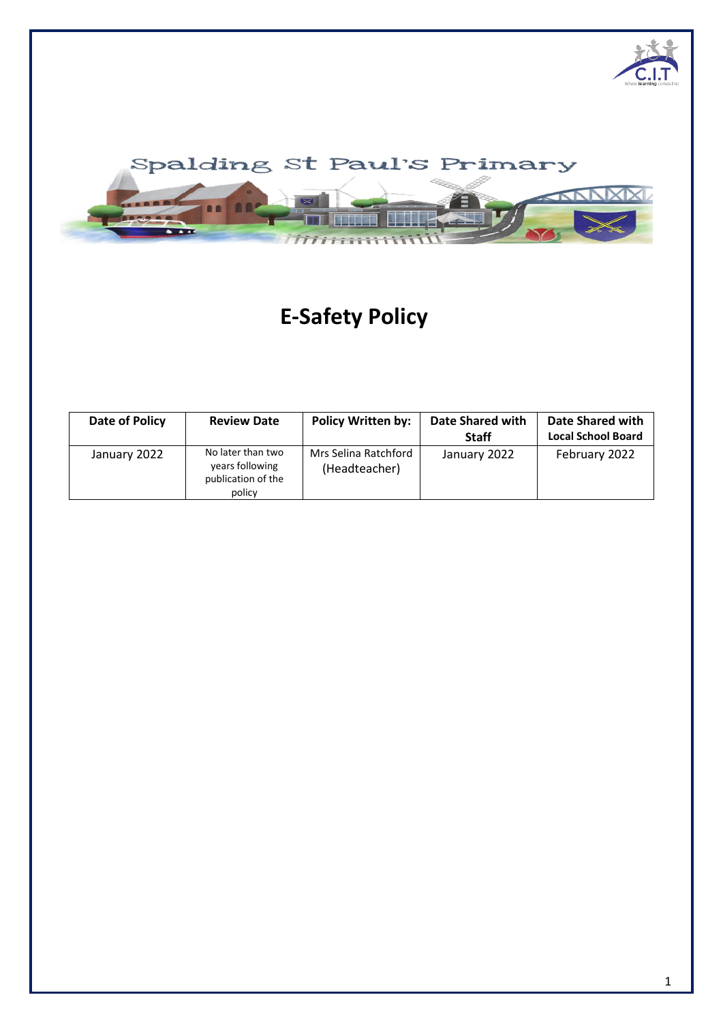



# **E-Safety Policy**

| Date of Policy | <b>Review Date</b>                                                   | <b>Policy Written by:</b>             | <b>Date Shared with</b><br><b>Staff</b> | Date Shared with<br><b>Local School Board</b> |
|----------------|----------------------------------------------------------------------|---------------------------------------|-----------------------------------------|-----------------------------------------------|
| January 2022   | No later than two<br>years following<br>publication of the<br>policy | Mrs Selina Ratchford<br>(Headteacher) | January 2022                            | February 2022                                 |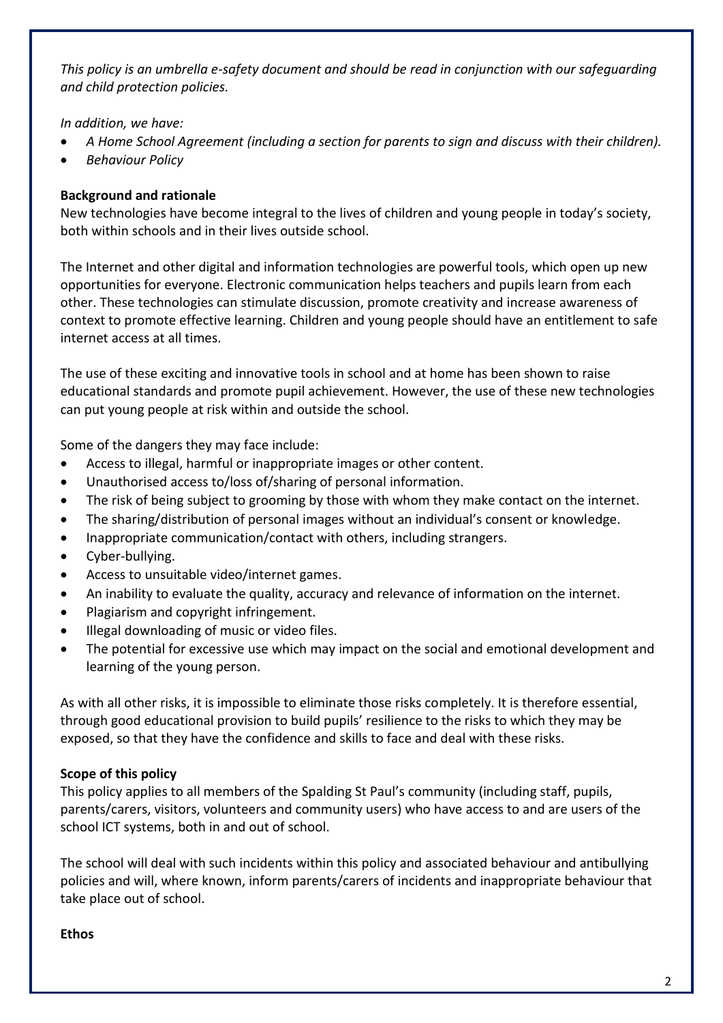*This policy is an umbrella e-safety document and should be read in conjunction with our safeguarding and child protection policies.* 

*In addition, we have:*

- *A Home School Agreement (including a section for parents to sign and discuss with their children).*
- *Behaviour Policy*

## **Background and rationale**

New technologies have become integral to the lives of children and young people in today's society, both within schools and in their lives outside school.

The Internet and other digital and information technologies are powerful tools, which open up new opportunities for everyone. Electronic communication helps teachers and pupils learn from each other. These technologies can stimulate discussion, promote creativity and increase awareness of context to promote effective learning. Children and young people should have an entitlement to safe internet access at all times.

The use of these exciting and innovative tools in school and at home has been shown to raise educational standards and promote pupil achievement. However, the use of these new technologies can put young people at risk within and outside the school.

Some of the dangers they may face include:

- Access to illegal, harmful or inappropriate images or other content.
- Unauthorised access to/loss of/sharing of personal information.
- The risk of being subject to grooming by those with whom they make contact on the internet.
- The sharing/distribution of personal images without an individual's consent or knowledge.
- Inappropriate communication/contact with others, including strangers.
- Cyber-bullying.
- Access to unsuitable video/internet games.
- An inability to evaluate the quality, accuracy and relevance of information on the internet.
- Plagiarism and copyright infringement.
- Illegal downloading of music or video files.
- The potential for excessive use which may impact on the social and emotional development and learning of the young person.

As with all other risks, it is impossible to eliminate those risks completely. It is therefore essential, through good educational provision to build pupils' resilience to the risks to which they may be exposed, so that they have the confidence and skills to face and deal with these risks.

#### **Scope of this policy**

This policy applies to all members of the Spalding St Paul's community (including staff, pupils, parents/carers, visitors, volunteers and community users) who have access to and are users of the school ICT systems, both in and out of school.

The school will deal with such incidents within this policy and associated behaviour and antibullying policies and will, where known, inform parents/carers of incidents and inappropriate behaviour that take place out of school.

#### **Ethos**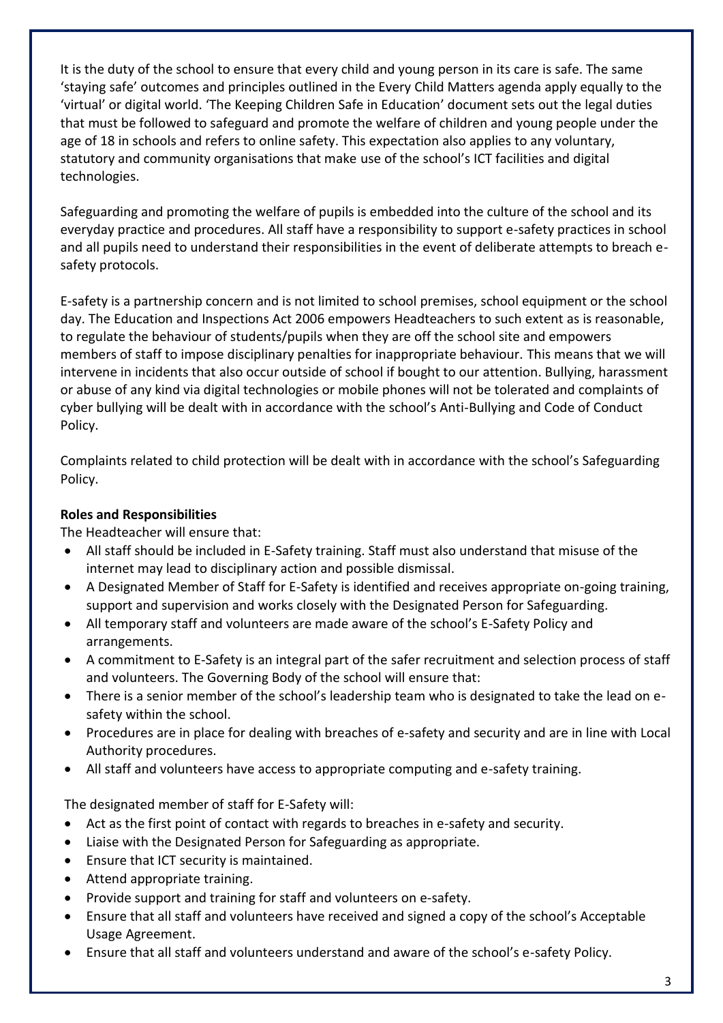It is the duty of the school to ensure that every child and young person in its care is safe. The same 'staying safe' outcomes and principles outlined in the Every Child Matters agenda apply equally to the 'virtual' or digital world. 'The Keeping Children Safe in Education' document sets out the legal duties that must be followed to safeguard and promote the welfare of children and young people under the age of 18 in schools and refers to online safety. This expectation also applies to any voluntary, statutory and community organisations that make use of the school's ICT facilities and digital technologies.

Safeguarding and promoting the welfare of pupils is embedded into the culture of the school and its everyday practice and procedures. All staff have a responsibility to support e-safety practices in school and all pupils need to understand their responsibilities in the event of deliberate attempts to breach esafety protocols.

E-safety is a partnership concern and is not limited to school premises, school equipment or the school day. The Education and Inspections Act 2006 empowers Headteachers to such extent as is reasonable, to regulate the behaviour of students/pupils when they are off the school site and empowers members of staff to impose disciplinary penalties for inappropriate behaviour. This means that we will intervene in incidents that also occur outside of school if bought to our attention. Bullying, harassment or abuse of any kind via digital technologies or mobile phones will not be tolerated and complaints of cyber bullying will be dealt with in accordance with the school's Anti-Bullying and Code of Conduct Policy.

Complaints related to child protection will be dealt with in accordance with the school's Safeguarding Policy.

# **Roles and Responsibilities**

The Headteacher will ensure that:

- All staff should be included in E-Safety training. Staff must also understand that misuse of the internet may lead to disciplinary action and possible dismissal.
- A Designated Member of Staff for E-Safety is identified and receives appropriate on-going training, support and supervision and works closely with the Designated Person for Safeguarding.
- All temporary staff and volunteers are made aware of the school's E-Safety Policy and arrangements.
- A commitment to E-Safety is an integral part of the safer recruitment and selection process of staff and volunteers. The Governing Body of the school will ensure that:
- There is a senior member of the school's leadership team who is designated to take the lead on esafety within the school.
- Procedures are in place for dealing with breaches of e-safety and security and are in line with Local Authority procedures.
- All staff and volunteers have access to appropriate computing and e-safety training.

The designated member of staff for E-Safety will:

- Act as the first point of contact with regards to breaches in e-safety and security.
- Liaise with the Designated Person for Safeguarding as appropriate.
- Ensure that ICT security is maintained.
- Attend appropriate training.
- Provide support and training for staff and volunteers on e-safety.
- Ensure that all staff and volunteers have received and signed a copy of the school's Acceptable Usage Agreement.
- Ensure that all staff and volunteers understand and aware of the school's e-safety Policy.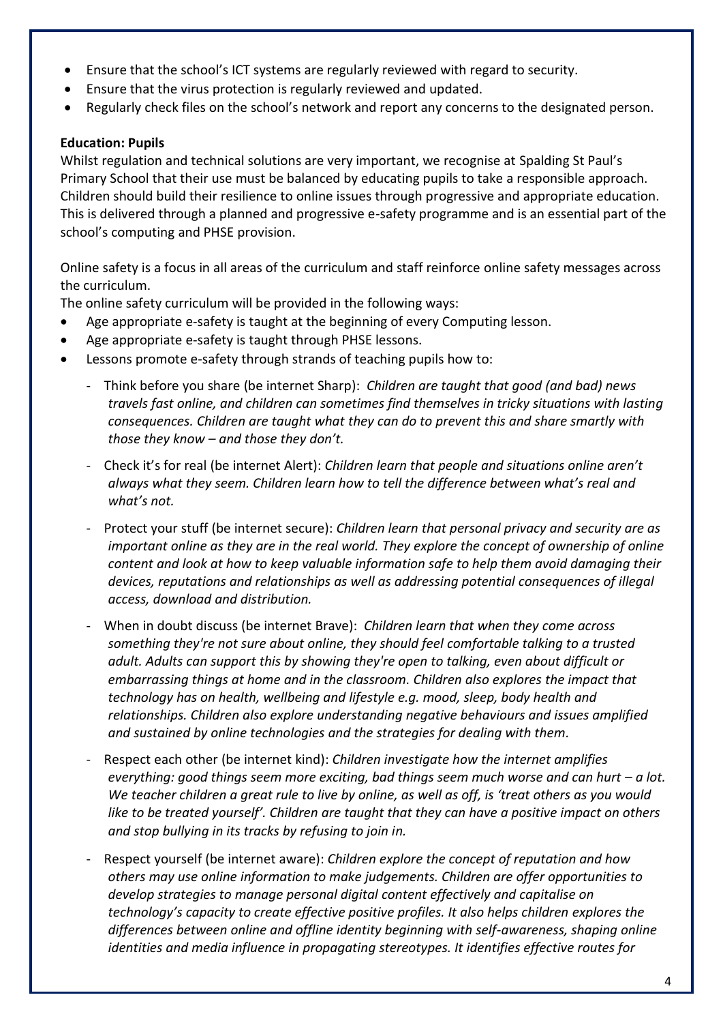- Ensure that the school's ICT systems are regularly reviewed with regard to security.
- Ensure that the virus protection is regularly reviewed and updated.
- Regularly check files on the school's network and report any concerns to the designated person.

## **Education: Pupils**

Whilst regulation and technical solutions are very important, we recognise at Spalding St Paul's Primary School that their use must be balanced by educating pupils to take a responsible approach. Children should build their resilience to online issues through progressive and appropriate education. This is delivered through a planned and progressive e-safety programme and is an essential part of the school's computing and PHSE provision.

Online safety is a focus in all areas of the curriculum and staff reinforce online safety messages across the curriculum.

The online safety curriculum will be provided in the following ways:

- Age appropriate e-safety is taught at the beginning of every Computing lesson.
- Age appropriate e-safety is taught through PHSE lessons.
- Lessons promote e-safety through strands of teaching pupils how to:
	- Think before you share (be internet Sharp): *Children are taught that good (and bad) news travels fast online, and children can sometimes find themselves in tricky situations with lasting consequences. Children are taught what they can do to prevent this and share smartly with those they know – and those they don't.*
	- Check it's for real (be internet Alert): *Children learn that people and situations online aren't always what they seem. Children learn how to tell the difference between what's real and what's not.*
	- Protect your stuff (be internet secure): *Children learn that personal privacy and security are as important online as they are in the real world. They explore the concept of ownership of online content and look at how to keep valuable information safe to help them avoid damaging their devices, reputations and relationships as well as addressing potential consequences of illegal access, download and distribution.*
	- When in doubt discuss (be internet Brave): *Children learn that when they come across something they're not sure about online, they should feel comfortable talking to a trusted adult. Adults can support this by showing they're open to talking, even about difficult or embarrassing things at home and in the classroom. Children also explores the impact that technology has on health, wellbeing and lifestyle e.g. mood, sleep, body health and relationships. Children also explore understanding negative behaviours and issues amplified and sustained by online technologies and the strategies for dealing with them.*
	- Respect each other (be internet kind): *Children investigate how the internet amplifies everything: good things seem more exciting, bad things seem much worse and can hurt – a lot. We teacher children a great rule to live by online, as well as off, is 'treat others as you would like to be treated yourself'. Children are taught that they can have a positive impact on others and stop bullying in its tracks by refusing to join in.*
	- Respect yourself (be internet aware): *Children explore the concept of reputation and how others may use online information to make judgements. Children are offer opportunities to develop strategies to manage personal digital content effectively and capitalise on technology's capacity to create effective positive profiles. It also helps children explores the differences between online and offline identity beginning with self-awareness, shaping online identities and media influence in propagating stereotypes. It identifies effective routes for*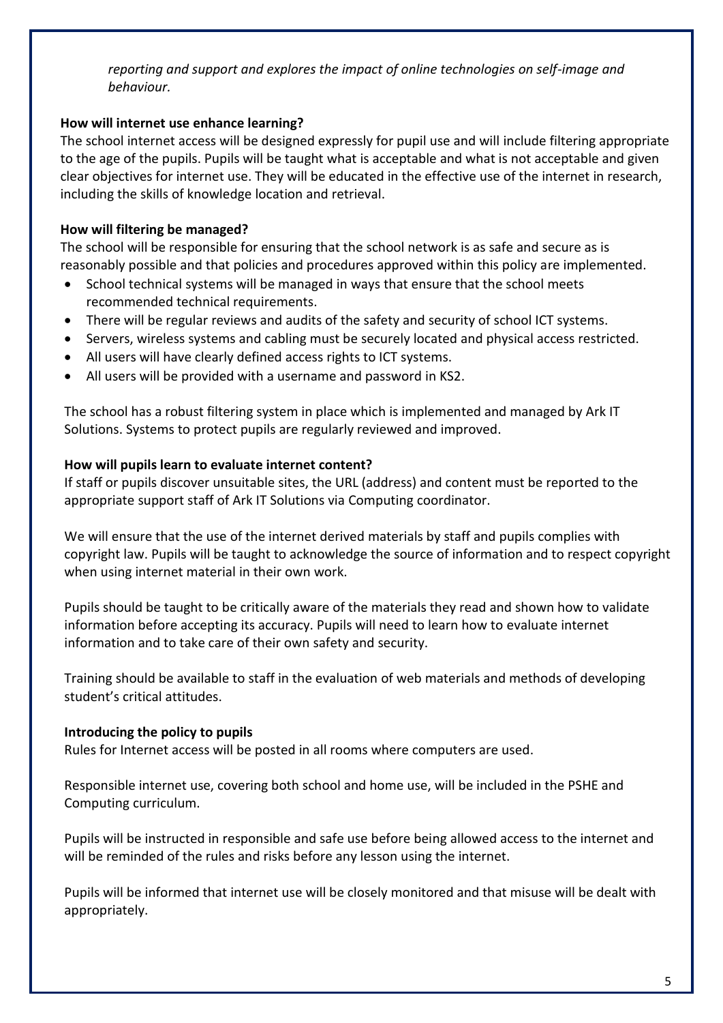*reporting and support and explores the impact of online technologies on self-image and behaviour.*

## **How will internet use enhance learning?**

The school internet access will be designed expressly for pupil use and will include filtering appropriate to the age of the pupils. Pupils will be taught what is acceptable and what is not acceptable and given clear objectives for internet use. They will be educated in the effective use of the internet in research, including the skills of knowledge location and retrieval.

# **How will filtering be managed?**

The school will be responsible for ensuring that the school network is as safe and secure as is reasonably possible and that policies and procedures approved within this policy are implemented.

- School technical systems will be managed in ways that ensure that the school meets recommended technical requirements.
- There will be regular reviews and audits of the safety and security of school ICT systems.
- Servers, wireless systems and cabling must be securely located and physical access restricted.
- All users will have clearly defined access rights to ICT systems.
- All users will be provided with a username and password in KS2.

The school has a robust filtering system in place which is implemented and managed by Ark IT Solutions. Systems to protect pupils are regularly reviewed and improved.

#### **How will pupils learn to evaluate internet content?**

If staff or pupils discover unsuitable sites, the URL (address) and content must be reported to the appropriate support staff of Ark IT Solutions via Computing coordinator.

We will ensure that the use of the internet derived materials by staff and pupils complies with copyright law. Pupils will be taught to acknowledge the source of information and to respect copyright when using internet material in their own work.

Pupils should be taught to be critically aware of the materials they read and shown how to validate information before accepting its accuracy. Pupils will need to learn how to evaluate internet information and to take care of their own safety and security.

Training should be available to staff in the evaluation of web materials and methods of developing student's critical attitudes.

# **Introducing the policy to pupils**

Rules for Internet access will be posted in all rooms where computers are used.

Responsible internet use, covering both school and home use, will be included in the PSHE and Computing curriculum.

Pupils will be instructed in responsible and safe use before being allowed access to the internet and will be reminded of the rules and risks before any lesson using the internet.

Pupils will be informed that internet use will be closely monitored and that misuse will be dealt with appropriately.